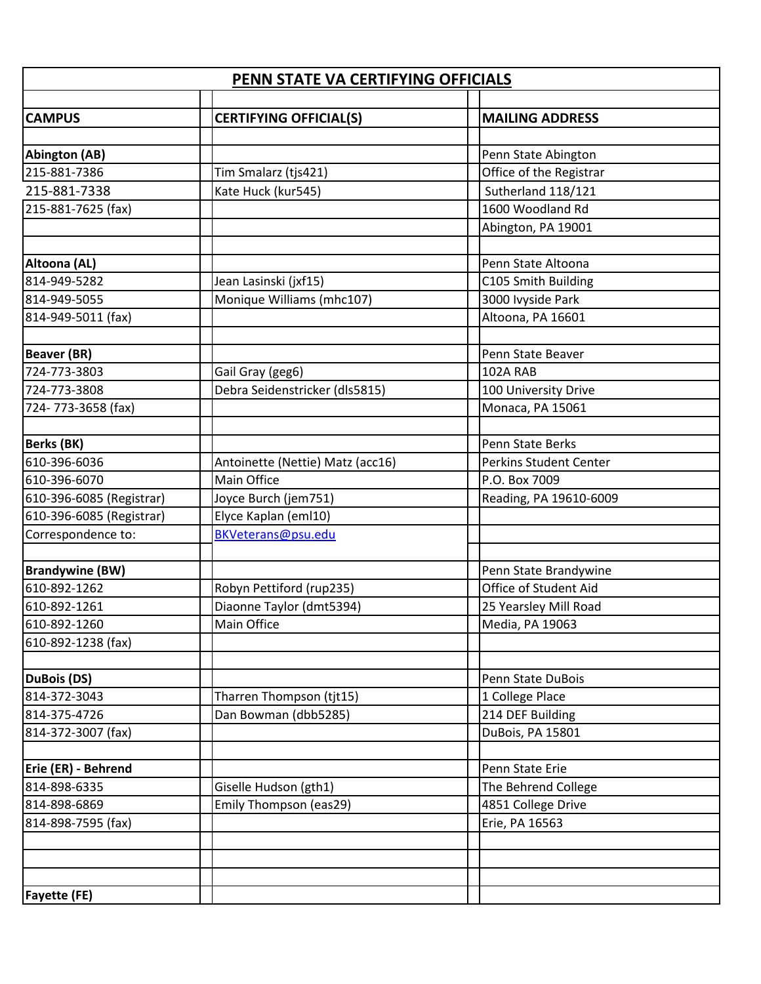| PENN STATE VA CERTIFYING OFFICIALS |                                  |                               |  |  |
|------------------------------------|----------------------------------|-------------------------------|--|--|
|                                    |                                  |                               |  |  |
| <b>CAMPUS</b>                      | <b>CERTIFYING OFFICIAL(S)</b>    | <b>MAILING ADDRESS</b>        |  |  |
|                                    |                                  |                               |  |  |
| <b>Abington (AB)</b>               |                                  | Penn State Abington           |  |  |
| 215-881-7386                       | Tim Smalarz (tjs421)             | Office of the Registrar       |  |  |
| 215-881-7338                       | Kate Huck (kur545)               | Sutherland 118/121            |  |  |
| 215-881-7625 (fax)                 |                                  | 1600 Woodland Rd              |  |  |
|                                    |                                  | Abington, PA 19001            |  |  |
|                                    |                                  |                               |  |  |
| Altoona (AL)                       |                                  | Penn State Altoona            |  |  |
| 814-949-5282                       | Jean Lasinski (jxf15)            | C105 Smith Building           |  |  |
| 814-949-5055                       | Monique Williams (mhc107)        | 3000 Ivyside Park             |  |  |
| 814-949-5011 (fax)                 |                                  | Altoona, PA 16601             |  |  |
|                                    |                                  |                               |  |  |
| <b>Beaver (BR)</b>                 |                                  | Penn State Beaver             |  |  |
| 724-773-3803                       | Gail Gray (geg6)                 | 102A RAB                      |  |  |
| 724-773-3808                       | Debra Seidenstricker (dls5815)   | 100 University Drive          |  |  |
| 724-773-3658 (fax)                 |                                  | Monaca, PA 15061              |  |  |
|                                    |                                  |                               |  |  |
| <b>Berks (BK)</b>                  |                                  | Penn State Berks              |  |  |
| 610-396-6036                       | Antoinette (Nettie) Matz (acc16) | <b>Perkins Student Center</b> |  |  |
| 610-396-6070                       | Main Office                      | P.O. Box 7009                 |  |  |
| 610-396-6085 (Registrar)           | Joyce Burch (jem751)             | Reading, PA 19610-6009        |  |  |
| 610-396-6085 (Registrar)           | Elyce Kaplan (eml10)             |                               |  |  |
| Correspondence to:                 | BKVeterans@psu.edu               |                               |  |  |
|                                    |                                  |                               |  |  |
| <b>Brandywine (BW)</b>             |                                  | Penn State Brandywine         |  |  |
| 610-892-1262                       | Robyn Pettiford (rup235)         | Office of Student Aid         |  |  |
| 610-892-1261                       | Diaonne Taylor (dmt5394)         | 25 Yearsley Mill Road         |  |  |
| 610-892-1260                       | Main Office                      | Media, PA 19063               |  |  |
| 610-892-1238 (fax)                 |                                  |                               |  |  |
|                                    |                                  |                               |  |  |
| <b>DuBois (DS)</b>                 |                                  | Penn State DuBois             |  |  |
| 814-372-3043                       | Tharren Thompson (tjt15)         | 1 College Place               |  |  |
| 814-375-4726                       | Dan Bowman (dbb5285)             | 214 DEF Building              |  |  |
| 814-372-3007 (fax)                 |                                  | DuBois, PA 15801              |  |  |
|                                    |                                  |                               |  |  |
| Erie (ER) - Behrend                |                                  | Penn State Erie               |  |  |
| 814-898-6335                       | Giselle Hudson (gth1)            | The Behrend College           |  |  |
| 814-898-6869                       | Emily Thompson (eas29)           | 4851 College Drive            |  |  |
| 814-898-7595 (fax)                 |                                  | Erie, PA 16563                |  |  |
|                                    |                                  |                               |  |  |
|                                    |                                  |                               |  |  |
|                                    |                                  |                               |  |  |
| <b>Fayette (FE)</b>                |                                  |                               |  |  |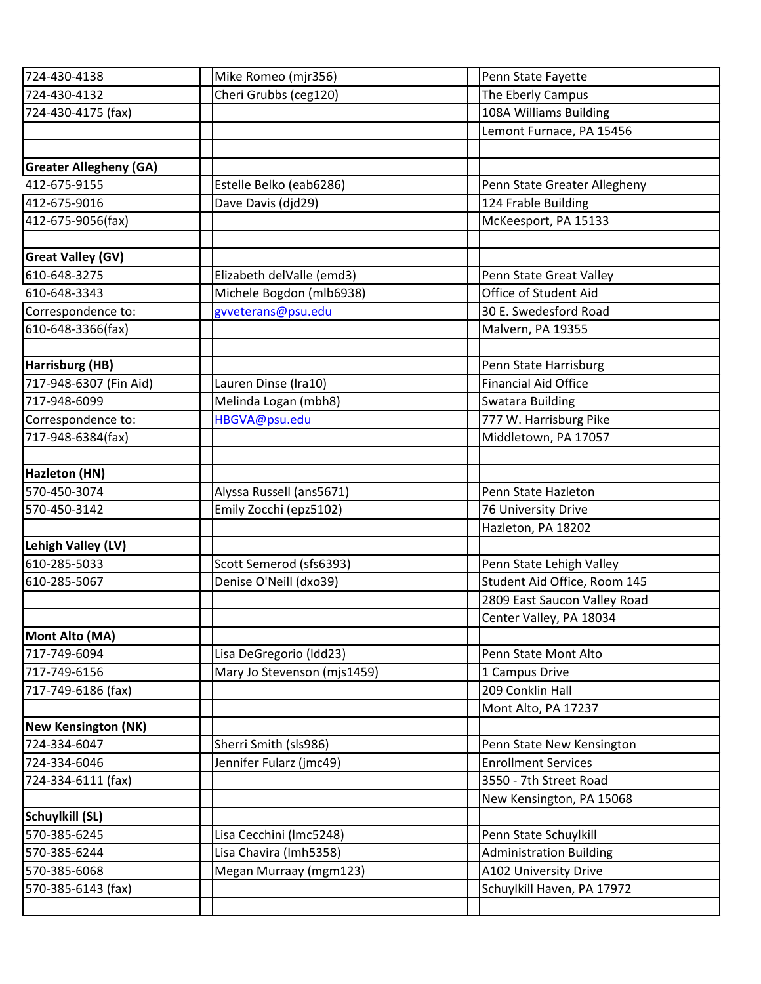| 724-430-4132<br>Cheri Grubbs (ceg120)<br>The Eberly Campus<br>108A Williams Building<br>724-430-4175 (fax)<br>Lemont Furnace, PA 15456<br><b>Greater Allegheny (GA)</b><br>412-675-9155<br>Estelle Belko (eab6286)<br>Penn State Greater Allegheny<br>412-675-9016<br>124 Frable Building<br>Dave Davis (djd29)<br>McKeesport, PA 15133<br>412-675-9056(fax)<br><b>Great Valley (GV)</b><br>610-648-3275<br>Elizabeth delValle (emd3)<br>Penn State Great Valley<br>Michele Bogdon (mlb6938)<br>Office of Student Aid<br>610-648-3343<br>Correspondence to:<br>30 E. Swedesford Road<br>gvveterans@psu.edu<br>610-648-3366(fax)<br>Malvern, PA 19355<br>Harrisburg (HB)<br>Penn State Harrisburg<br>717-948-6307 (Fin Aid)<br><b>Financial Aid Office</b><br>Lauren Dinse (Ira10)<br>Melinda Logan (mbh8)<br>717-948-6099<br><b>Swatara Building</b> |  |
|------------------------------------------------------------------------------------------------------------------------------------------------------------------------------------------------------------------------------------------------------------------------------------------------------------------------------------------------------------------------------------------------------------------------------------------------------------------------------------------------------------------------------------------------------------------------------------------------------------------------------------------------------------------------------------------------------------------------------------------------------------------------------------------------------------------------------------------------------|--|
|                                                                                                                                                                                                                                                                                                                                                                                                                                                                                                                                                                                                                                                                                                                                                                                                                                                      |  |
|                                                                                                                                                                                                                                                                                                                                                                                                                                                                                                                                                                                                                                                                                                                                                                                                                                                      |  |
|                                                                                                                                                                                                                                                                                                                                                                                                                                                                                                                                                                                                                                                                                                                                                                                                                                                      |  |
|                                                                                                                                                                                                                                                                                                                                                                                                                                                                                                                                                                                                                                                                                                                                                                                                                                                      |  |
|                                                                                                                                                                                                                                                                                                                                                                                                                                                                                                                                                                                                                                                                                                                                                                                                                                                      |  |
|                                                                                                                                                                                                                                                                                                                                                                                                                                                                                                                                                                                                                                                                                                                                                                                                                                                      |  |
|                                                                                                                                                                                                                                                                                                                                                                                                                                                                                                                                                                                                                                                                                                                                                                                                                                                      |  |
|                                                                                                                                                                                                                                                                                                                                                                                                                                                                                                                                                                                                                                                                                                                                                                                                                                                      |  |
|                                                                                                                                                                                                                                                                                                                                                                                                                                                                                                                                                                                                                                                                                                                                                                                                                                                      |  |
|                                                                                                                                                                                                                                                                                                                                                                                                                                                                                                                                                                                                                                                                                                                                                                                                                                                      |  |
|                                                                                                                                                                                                                                                                                                                                                                                                                                                                                                                                                                                                                                                                                                                                                                                                                                                      |  |
|                                                                                                                                                                                                                                                                                                                                                                                                                                                                                                                                                                                                                                                                                                                                                                                                                                                      |  |
|                                                                                                                                                                                                                                                                                                                                                                                                                                                                                                                                                                                                                                                                                                                                                                                                                                                      |  |
|                                                                                                                                                                                                                                                                                                                                                                                                                                                                                                                                                                                                                                                                                                                                                                                                                                                      |  |
|                                                                                                                                                                                                                                                                                                                                                                                                                                                                                                                                                                                                                                                                                                                                                                                                                                                      |  |
|                                                                                                                                                                                                                                                                                                                                                                                                                                                                                                                                                                                                                                                                                                                                                                                                                                                      |  |
|                                                                                                                                                                                                                                                                                                                                                                                                                                                                                                                                                                                                                                                                                                                                                                                                                                                      |  |
|                                                                                                                                                                                                                                                                                                                                                                                                                                                                                                                                                                                                                                                                                                                                                                                                                                                      |  |
| HBGVA@psu.edu<br>777 W. Harrisburg Pike<br>Correspondence to:                                                                                                                                                                                                                                                                                                                                                                                                                                                                                                                                                                                                                                                                                                                                                                                        |  |
| Middletown, PA 17057<br>717-948-6384(fax)                                                                                                                                                                                                                                                                                                                                                                                                                                                                                                                                                                                                                                                                                                                                                                                                            |  |
| Hazleton (HN)                                                                                                                                                                                                                                                                                                                                                                                                                                                                                                                                                                                                                                                                                                                                                                                                                                        |  |
| 570-450-3074<br>Alyssa Russell (ans5671)<br>Penn State Hazleton                                                                                                                                                                                                                                                                                                                                                                                                                                                                                                                                                                                                                                                                                                                                                                                      |  |
| 570-450-3142<br>Emily Zocchi (epz5102)<br>76 University Drive                                                                                                                                                                                                                                                                                                                                                                                                                                                                                                                                                                                                                                                                                                                                                                                        |  |
| Hazleton, PA 18202                                                                                                                                                                                                                                                                                                                                                                                                                                                                                                                                                                                                                                                                                                                                                                                                                                   |  |
| Lehigh Valley (LV)                                                                                                                                                                                                                                                                                                                                                                                                                                                                                                                                                                                                                                                                                                                                                                                                                                   |  |
| 610-285-5033<br>Scott Semerod (sfs6393)<br>Penn State Lehigh Valley                                                                                                                                                                                                                                                                                                                                                                                                                                                                                                                                                                                                                                                                                                                                                                                  |  |
| Denise O'Neill (dxo39)<br>Student Aid Office, Room 145<br>610-285-5067                                                                                                                                                                                                                                                                                                                                                                                                                                                                                                                                                                                                                                                                                                                                                                               |  |
| 2809 East Saucon Valley Road                                                                                                                                                                                                                                                                                                                                                                                                                                                                                                                                                                                                                                                                                                                                                                                                                         |  |
| Center Valley, PA 18034                                                                                                                                                                                                                                                                                                                                                                                                                                                                                                                                                                                                                                                                                                                                                                                                                              |  |
| Mont Alto (MA)                                                                                                                                                                                                                                                                                                                                                                                                                                                                                                                                                                                                                                                                                                                                                                                                                                       |  |
| 717-749-6094<br>Lisa DeGregorio (Idd23)<br>Penn State Mont Alto                                                                                                                                                                                                                                                                                                                                                                                                                                                                                                                                                                                                                                                                                                                                                                                      |  |
| Mary Jo Stevenson (mjs1459)<br>717-749-6156<br>1 Campus Drive                                                                                                                                                                                                                                                                                                                                                                                                                                                                                                                                                                                                                                                                                                                                                                                        |  |
| 209 Conklin Hall<br>717-749-6186 (fax)                                                                                                                                                                                                                                                                                                                                                                                                                                                                                                                                                                                                                                                                                                                                                                                                               |  |
| Mont Alto, PA 17237                                                                                                                                                                                                                                                                                                                                                                                                                                                                                                                                                                                                                                                                                                                                                                                                                                  |  |
| <b>New Kensington (NK)</b><br>724-334-6047<br>Sherri Smith (sls986)                                                                                                                                                                                                                                                                                                                                                                                                                                                                                                                                                                                                                                                                                                                                                                                  |  |
| Penn State New Kensington<br><b>Enrollment Services</b><br>724-334-6046<br>Jennifer Fularz (jmc49)                                                                                                                                                                                                                                                                                                                                                                                                                                                                                                                                                                                                                                                                                                                                                   |  |
| 724-334-6111 (fax)<br>3550 - 7th Street Road                                                                                                                                                                                                                                                                                                                                                                                                                                                                                                                                                                                                                                                                                                                                                                                                         |  |
| New Kensington, PA 15068                                                                                                                                                                                                                                                                                                                                                                                                                                                                                                                                                                                                                                                                                                                                                                                                                             |  |
| Schuylkill (SL)                                                                                                                                                                                                                                                                                                                                                                                                                                                                                                                                                                                                                                                                                                                                                                                                                                      |  |
| 570-385-6245<br>Lisa Cecchini (Imc5248)<br>Penn State Schuylkill                                                                                                                                                                                                                                                                                                                                                                                                                                                                                                                                                                                                                                                                                                                                                                                     |  |
| 570-385-6244<br>Lisa Chavira (Imh5358)<br><b>Administration Building</b>                                                                                                                                                                                                                                                                                                                                                                                                                                                                                                                                                                                                                                                                                                                                                                             |  |
| Megan Murraay (mgm123)<br>570-385-6068<br>A102 University Drive                                                                                                                                                                                                                                                                                                                                                                                                                                                                                                                                                                                                                                                                                                                                                                                      |  |
| Schuylkill Haven, PA 17972<br>570-385-6143 (fax)                                                                                                                                                                                                                                                                                                                                                                                                                                                                                                                                                                                                                                                                                                                                                                                                     |  |
|                                                                                                                                                                                                                                                                                                                                                                                                                                                                                                                                                                                                                                                                                                                                                                                                                                                      |  |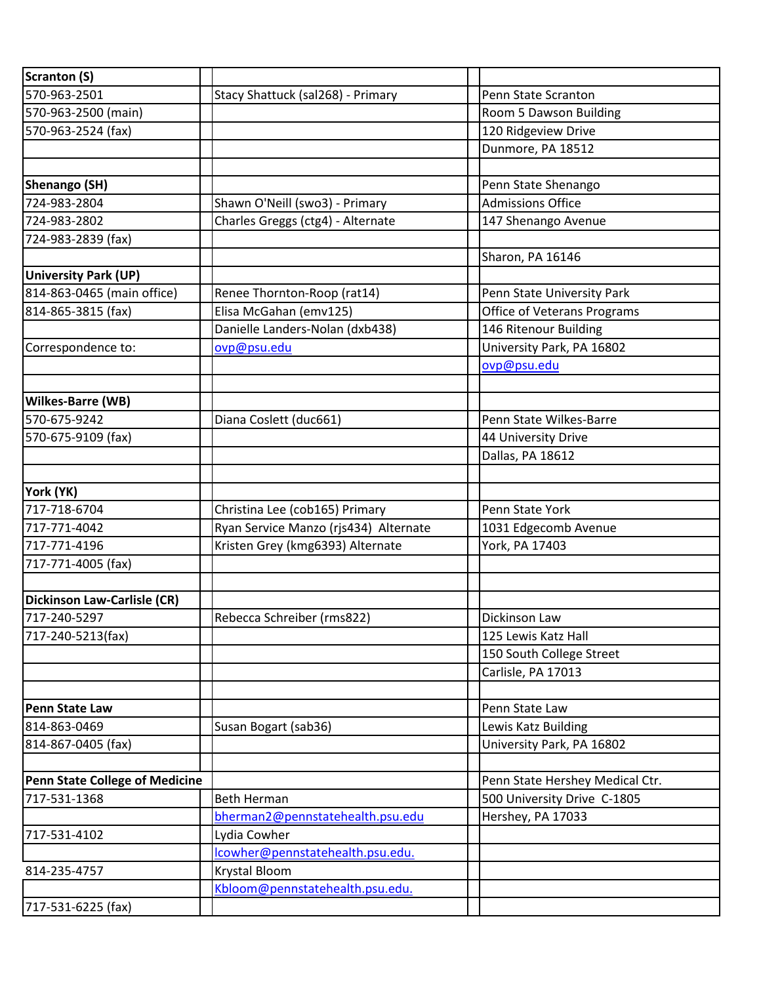| <b>Scranton (S)</b>                |                                       |                                 |
|------------------------------------|---------------------------------------|---------------------------------|
| 570-963-2501                       | Stacy Shattuck (sal268) - Primary     | Penn State Scranton             |
| 570-963-2500 (main)                |                                       | Room 5 Dawson Building          |
| 570-963-2524 (fax)                 |                                       | 120 Ridgeview Drive             |
|                                    |                                       | Dunmore, PA 18512               |
|                                    |                                       |                                 |
| <b>Shenango (SH)</b>               |                                       | Penn State Shenango             |
| 724-983-2804                       | Shawn O'Neill (swo3) - Primary        | <b>Admissions Office</b>        |
| 724-983-2802                       | Charles Greggs (ctg4) - Alternate     | 147 Shenango Avenue             |
| 724-983-2839 (fax)                 |                                       |                                 |
|                                    |                                       | Sharon, PA 16146                |
| <b>University Park (UP)</b>        |                                       |                                 |
| 814-863-0465 (main office)         | Renee Thornton-Roop (rat14)           | Penn State University Park      |
| 814-865-3815 (fax)                 | Elisa McGahan (emv125)                | Office of Veterans Programs     |
|                                    | Danielle Landers-Nolan (dxb438)       | 146 Ritenour Building           |
| Correspondence to:                 | ovp@psu.edu                           | University Park, PA 16802       |
|                                    |                                       | ovp@psu.edu                     |
|                                    |                                       |                                 |
| Wilkes-Barre (WB)                  |                                       |                                 |
| 570-675-9242                       | Diana Coslett (duc661)                | Penn State Wilkes-Barre         |
| 570-675-9109 (fax)                 |                                       | 44 University Drive             |
|                                    |                                       | Dallas, PA 18612                |
|                                    |                                       |                                 |
| York (YK)                          |                                       |                                 |
| 717-718-6704                       | Christina Lee (cob165) Primary        | Penn State York                 |
| 717-771-4042                       | Ryan Service Manzo (rjs434) Alternate | 1031 Edgecomb Avenue            |
| 717-771-4196                       | Kristen Grey (kmg6393) Alternate      | York, PA 17403                  |
| 717-771-4005 (fax)                 |                                       |                                 |
|                                    |                                       |                                 |
| <b>Dickinson Law-Carlisle (CR)</b> |                                       |                                 |
| 717-240-5297                       | Rebecca Schreiber (rms822)            | Dickinson Law                   |
| 717-240-5213(fax)                  |                                       | 125 Lewis Katz Hall             |
|                                    |                                       | 150 South College Street        |
|                                    |                                       | Carlisle, PA 17013              |
|                                    |                                       |                                 |
| <b>Penn State Law</b>              |                                       | Penn State Law                  |
| 814-863-0469                       | Susan Bogart (sab36)                  | Lewis Katz Building             |
| 814-867-0405 (fax)                 |                                       | University Park, PA 16802       |
| Penn State College of Medicine     |                                       | Penn State Hershey Medical Ctr. |
| 717-531-1368                       | <b>Beth Herman</b>                    | 500 University Drive C-1805     |
|                                    | bherman2@pennstatehealth.psu.edu      | Hershey, PA 17033               |
| 717-531-4102                       | Lydia Cowher                          |                                 |
|                                    | lcowher@pennstatehealth.psu.edu.      |                                 |
| 814-235-4757                       | Krystal Bloom                         |                                 |
|                                    | Kbloom@pennstatehealth.psu.edu.       |                                 |
| 717-531-6225 (fax)                 |                                       |                                 |
|                                    |                                       |                                 |